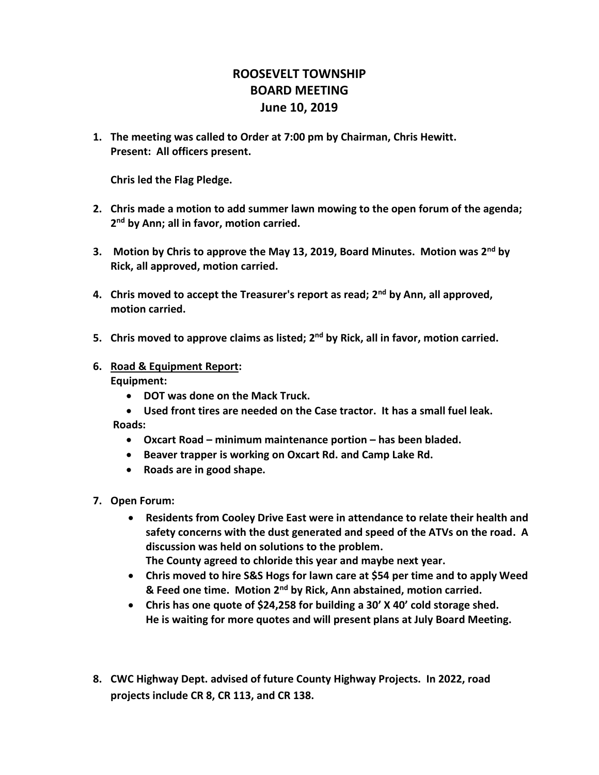## **ROOSEVELT TOWNSHIP BOARD MEETING June 10, 2019**

**1. The meeting was called to Order at 7:00 pm by Chairman, Chris Hewitt. Present: All officers present.**

**Chris led the Flag Pledge.**

- **2. Chris made a motion to add summer lawn mowing to the open forum of the agenda; 2 nd by Ann; all in favor, motion carried.**
- **3. Motion by Chris to approve the May 13, 2019, Board Minutes. Motion was 2nd by Rick, all approved, motion carried.**
- **4. Chris moved to accept the Treasurer's report as read; 2nd by Ann, all approved, motion carried.**
- **5. Chris moved to approve claims as listed; 2nd by Rick, all in favor, motion carried.**
- **6. Road & Equipment Report: Equipment:**
	- **DOT was done on the Mack Truck.**
	- **Used front tires are needed on the Case tractor. It has a small fuel leak. Roads:** 
		- **Oxcart Road – minimum maintenance portion – has been bladed.**
		- **Beaver trapper is working on Oxcart Rd. and Camp Lake Rd.**
		- **Roads are in good shape.**
- **7. Open Forum:**
	- **Residents from Cooley Drive East were in attendance to relate their health and safety concerns with the dust generated and speed of the ATVs on the road. A discussion was held on solutions to the problem.**
		- **The County agreed to chloride this year and maybe next year.**
	- **Chris moved to hire S&S Hogs for lawn care at \$54 per time and to apply Weed & Feed one time. Motion 2nd by Rick, Ann abstained, motion carried.**
	- **Chris has one quote of \$24,258 for building a 30' X 40' cold storage shed. He is waiting for more quotes and will present plans at July Board Meeting.**
- **8. CWC Highway Dept. advised of future County Highway Projects. In 2022, road projects include CR 8, CR 113, and CR 138.**